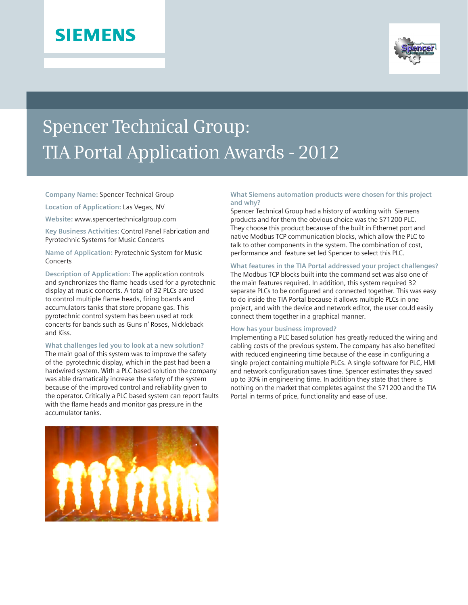# **SIEMENS**



# Spencer Technical Group: TIA Portal Application Awards - 2012

#### **Company Name:** Spencer Technical Group

**Location of Application:** Las Vegas, NV

**Website:** www.spencertechnicalgroup.com

**Key Business Activities:** Control Panel Fabrication and Pyrotechnic Systems for Music Concerts

# **Name of Application:** Pyrotechnic System for Music **Concerts**

**Description of Application:** The application controls and synchronizes the flame heads used for a pyrotechnic display at music concerts. A total of 32 PLCs are used to control multiple flame heads, firing boards and accumulators tanks that store propane gas. This pyrotechnic control system has been used at rock concerts for bands such as Guns n' Roses, Nickleback and Kiss.

#### **What challenges led you to look at a new solution?**

The main goal of this system was to improve the safety of the pyrotechnic display, which in the past had been a hardwired system. With a PLC based solution the company was able dramatically increase the safety of the system because of the improved control and reliability given to the operator. Critically a PLC based system can report faults with the flame heads and monitor gas pressure in the accumulator tanks.

## **What Siemens automation products were chosen for this project and why?**

Spencer Technical Group had a history of working with Siemens products and for them the obvious choice was the S71200 PLC. They choose this product because of the built in Ethernet port and native Modbus TCP communication blocks, which allow the PLC to talk to other components in the system. The combination of cost, performance and feature set led Spencer to select this PLC.

### **What features in the TIA Portal addressed your project challenges?**

The Modbus TCP blocks built into the command set was also one of the main features required. In addition, this system required 32 separate PLCs to be configured and connected together. This was easy to do inside the TIA Portal because it allows multiple PLCs in one project, and with the device and network editor, the user could easily connect them together in a graphical manner.

#### **How has your business improved?**

Implementing a PLC based solution has greatly reduced the wiring and cabling costs of the previous system. The company has also benefited with reduced engineering time because of the ease in configuring a single project containing multiple PLCs. A single software for PLC, HMI and network configuration saves time. Spencer estimates they saved up to 30% in engineering time. In addition they state that there is nothing on the market that completes against the S71200 and the TIA Portal in terms of price, functionality and ease of use.